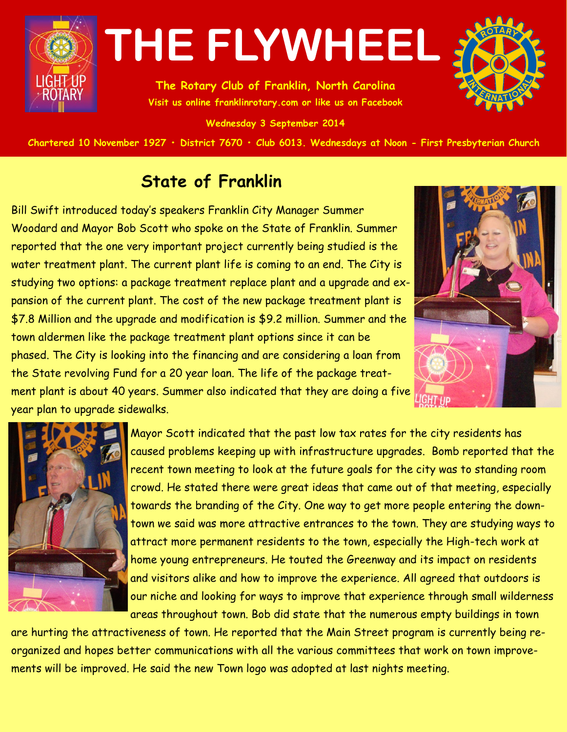

**The Rotary Club of Franklin, North Carolina Visit us online franklinrotary.com or like us on Facebook** 

**Wednesday 3 September 2014**



Chartered 10 November 1927 • District 7670 • Club 6013. Wednesdays at Noon - First Presbyterian Church

### **State of Franklin**

Bill Swift introduced today's speakers Franklin City Manager Summer Woodard and Mayor Bob Scott who spoke on the State of Franklin. Summer reported that the one very important project currently being studied is the water treatment plant. The current plant life is coming to an end. The City is studying two options: a package treatment replace plant and a upgrade and expansion of the current plant. The cost of the new package treatment plant is \$7.8 Million and the upgrade and modification is \$9.2 million. Summer and the town aldermen like the package treatment plant options since it can be phased. The City is looking into the financing and are considering a loan from the State revolving Fund for a 20 year loan. The life of the package treatment plant is about 40 years. Summer also indicated that they are doing a five year plan to upgrade sidewalks.





Mayor Scott indicated that the past low tax rates for the city residents has caused problems keeping up with infrastructure upgrades. Bomb reported that the recent town meeting to look at the future goals for the city was to standing room crowd. He stated there were great ideas that came out of that meeting, especially towards the branding of the City. One way to get more people entering the downtown we said was more attractive entrances to the town. They are studying ways to attract more permanent residents to the town, especially the High-tech work at home young entrepreneurs. He touted the Greenway and its impact on residents and visitors alike and how to improve the experience. All agreed that outdoors is our niche and looking for ways to improve that experience through small wilderness areas throughout town. Bob did state that the numerous empty buildings in town

are hurting the attractiveness of town. He reported that the Main Street program is currently being reorganized and hopes better communications with all the various committees that work on town improvements will be improved. He said the new Town logo was adopted at last nights meeting.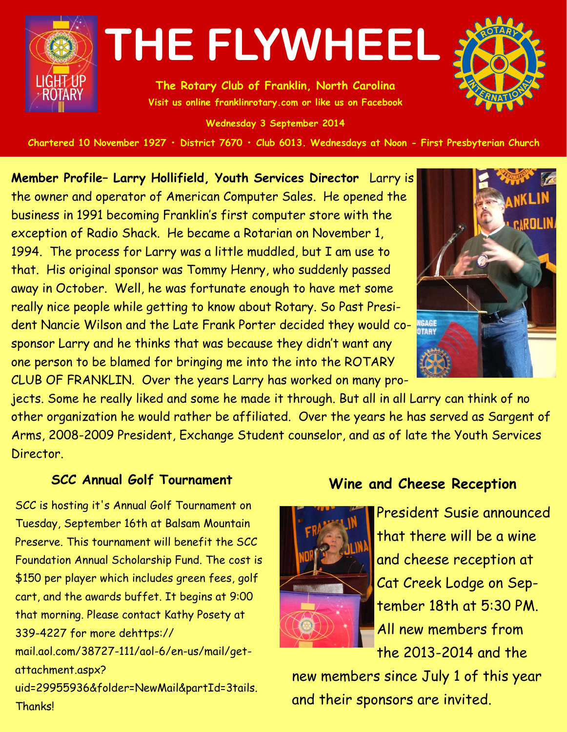

**The Rotary Club of Franklin, North Carolina Visit us online franklinrotary.com or like us on Facebook** 

**Wednesday 3 September 2014**



Chartered 10 November 1927 • District 7670 • Club 6013. Wednesdays at Noon - First Presbyterian Church

**Member Profile– Larry Hollifield, Youth Services Director** Larry is the owner and operator of American Computer Sales. He opened the business in 1991 becoming Franklin's first computer store with the exception of Radio Shack. He became a Rotarian on November 1, 1994. The process for Larry was a little muddled, but I am use to that. His original sponsor was Tommy Henry, who suddenly passed away in October. Well, he was fortunate enough to have met some really nice people while getting to know about Rotary. So Past President Nancie Wilson and the Late Frank Porter decided they would cosponsor Larry and he thinks that was because they didn't want any one person to be blamed for bringing me into the into the ROTARY CLUB OF FRANKLIN. Over the years Larry has worked on many pro-



jects. Some he really liked and some he made it through. But all in all Larry can think of no other organization he would rather be affiliated. Over the years he has served as Sargent of Arms, 2008-2009 President, Exchange Student counselor, and as of late the Youth Services Director.

#### **SCC Annual Golf Tournament**

SCC is hosting it's Annual Golf Tournament on Tuesday, September 16th at Balsam Mountain Preserve. This tournament will benefit the SCC Foundation Annual Scholarship Fund. The cost is \$150 per player which includes green fees, golf cart, and the awards buffet. It begins at 9:00 that morning. Please contact Kathy Posety at 339-4227 for more dehttps:// mail.aol.com/38727-111/aol-6/en-us/mail/getattachment.aspx?

uid=29955936&folder=NewMail&partId=3tails. **Thanks!** 

#### **Wine and Cheese Reception**



President Susie announced that there will be a wine and cheese reception at Cat Creek Lodge on September 18th at 5:30 PM. All new members from the 2013-2014 and the

new members since July 1 of this year and their sponsors are invited.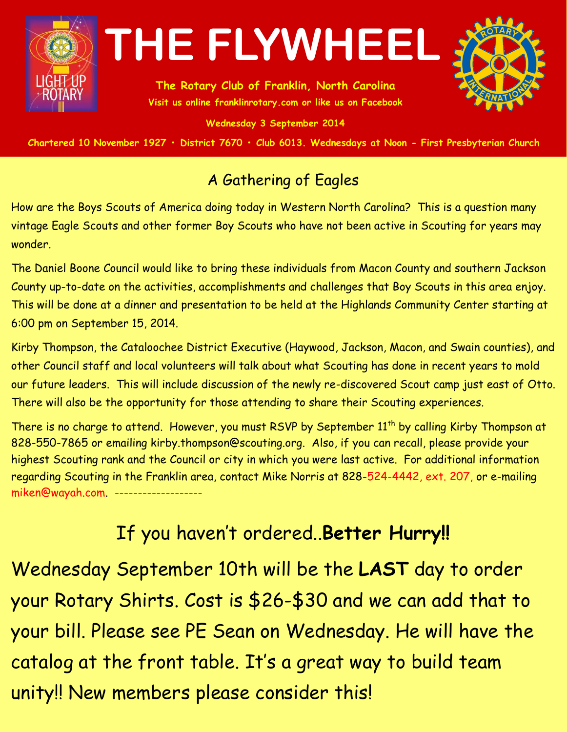

**The Rotary Club of Franklin, North Carolina Visit us online franklinrotary.com or like us on Facebook** 

**Wednesday 3 September 2014**



Chartered 10 November 1927 • District 7670 • Club 6013. Wednesdays at Noon - First Presbyterian Church

### A Gathering of Eagles

How are the Boys Scouts of America doing today in Western North Carolina? This is a question many vintage Eagle Scouts and other former Boy Scouts who have not been active in Scouting for years may wonder.

The Daniel Boone Council would like to bring these individuals from Macon County and southern Jackson County up-to-date on the activities, accomplishments and challenges that Boy Scouts in this area enjoy. This will be done at a dinner and presentation to be held at the Highlands Community Center starting at 6:00 pm on September 15, 2014.

Kirby Thompson, the Cataloochee District Executive (Haywood, Jackson, Macon, and Swain counties), and other Council staff and local volunteers will talk about what Scouting has done in recent years to mold our future leaders. This will include discussion of the newly re-discovered Scout camp just east of Otto. There will also be the opportunity for those attending to share their Scouting experiences.

There is no charge to attend. However, you must RSVP by September 11<sup>th</sup> by calling Kirby Thompson at 828-550-7865 or emailing kirby.thompson@scouting.org. Also, if you can recall, please provide your highest Scouting rank and the Council or city in which you were last active. For additional information regarding Scouting in the Franklin area, contact Mike Norris at 828-524-4442, ext. 207, or e-mailing miken@wayah.com. ------

### If you haven't ordered..**Better Hurry!!**

Wednesday September 10th will be the **LAST** day to order your Rotary Shirts. Cost is \$26-\$30 and we can add that to your bill. Please see PE Sean on Wednesday. He will have the catalog at the front table. It's a great way to build team unity!! New members please consider this!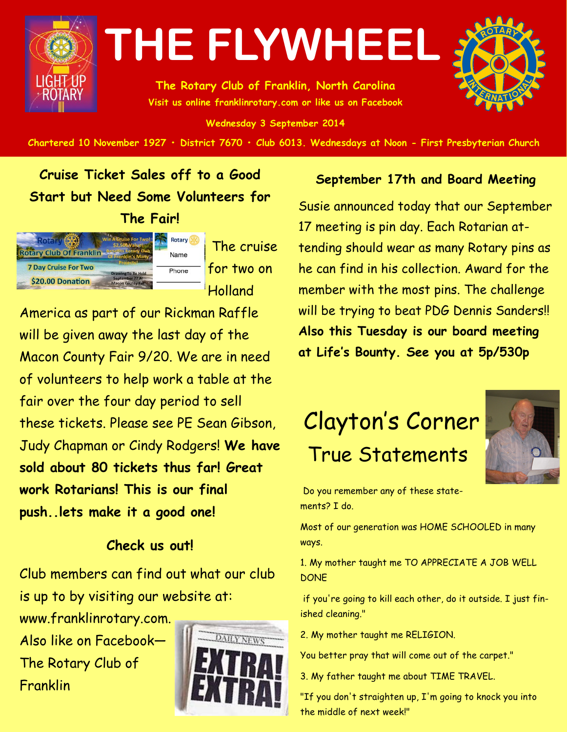

**The Rotary Club of Franklin, North Carolina Visit us online franklinrotary.com or like us on Facebook** 

**Wednesday 3 September 2014**

Chartered 10 November 1927 • District 7670 • Club 6013. Wednesdays at Noon - First Presbyterian Church

**Cruise Ticket Sales off to a Good Start but Need Some Volunteers for The Fair!**



The cruise for two on Holland

America as part of our Rickman Raffle will be given away the last day of the Macon County Fair 9/20. We are in need of volunteers to help work a table at the fair over the four day period to sell these tickets. Please see PE Sean Gibson, Judy Chapman or Cindy Rodgers! **We have sold about 80 tickets thus far! Great work Rotarians! This is our final push..lets make it a good one!**

#### **Check us out!**

Club members can find out what our club is up to by visiting our website at:

www.franklinrotary.com. Also like on Facebook— The Rotary Club of Franklin



#### **September 17th and Board Meeting**

Susie announced today that our September 17 meeting is pin day. Each Rotarian attending should wear as many Rotary pins as he can find in his collection. Award for the member with the most pins. The challenge will be trying to beat PDG Dennis Sanders!! **Also this Tuesday is our board meeting at Life's Bounty. See you at 5p/530p**

### Clayton's Corner True Statements



Do you remember any of these statements? I do.

Most of our generation was HOME SCHOOLED in many ways.

1. My mother taught me TO APPRECIATE A JOB WELL **DONE** 

if you're going to kill each other, do it outside. I just finished cleaning."

2. My mother taught me RELIGION.

You better pray that will come out of the carpet."

3. My father taught me about TIME TRAVEL.

"If you don't straighten up, I'm going to knock you into the middle of next week!"